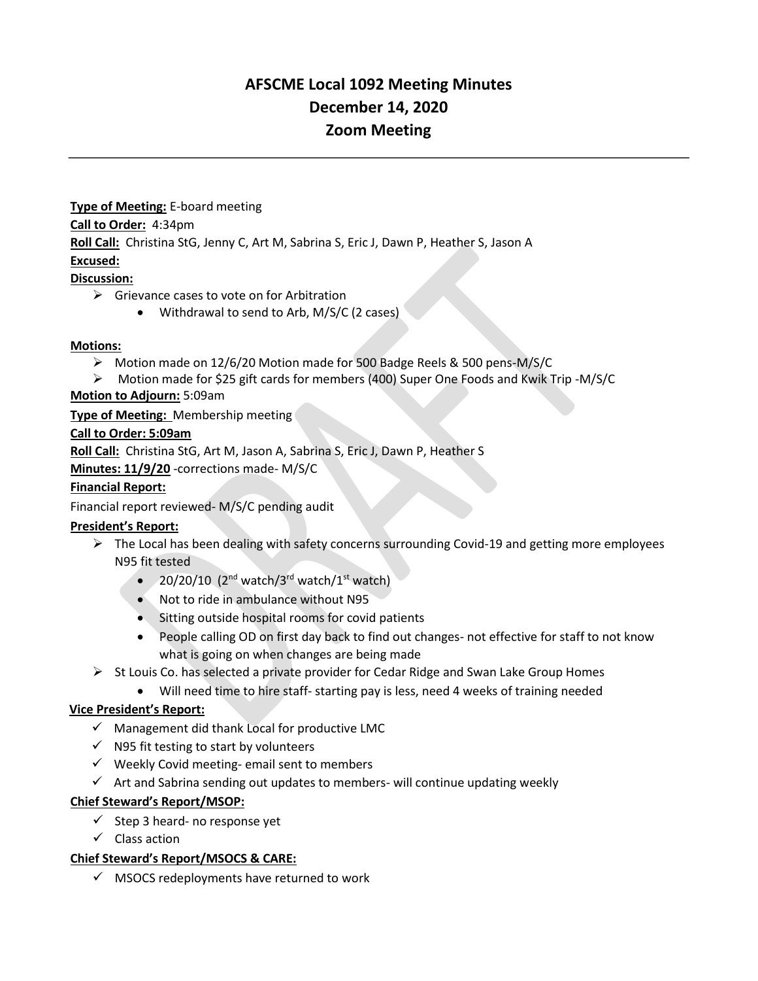# **AFSCME Local 1092 Meeting Minutes December 14, 2020 Zoom Meeting**

**Type of Meeting:** E-board meeting **Call to Order:** 4:34pm **Roll Call:** Christina StG, Jenny C, Art M, Sabrina S, Eric J, Dawn P, Heather S, Jason A **Excused:**

#### **Discussion:**

- $\triangleright$  Grievance cases to vote on for Arbitration
	- Withdrawal to send to Arb, M/S/C (2 cases)

#### **Motions:**

- ➢ Motion made on 12/6/20 Motion made for 500 Badge Reels & 500 pens-M/S/C
- ➢ Motion made for \$25 gift cards for members (400) Super One Foods and Kwik Trip -M/S/C

#### **Motion to Adjourn:** 5:09am

**Type of Meeting:** Membership meeting

#### **Call to Order: 5:09am**

**Roll Call:** Christina StG, Art M, Jason A, Sabrina S, Eric J, Dawn P, Heather S

**Minutes: 11/9/20** -corrections made- M/S/C

#### **Financial Report:**

Financial report reviewed- M/S/C pending audit

#### **President's Report:**

- $\triangleright$  The Local has been dealing with safety concerns surrounding Covid-19 and getting more employees N95 fit tested
	- $20/20/10$  (2<sup>nd</sup> watch/3<sup>rd</sup> watch/1<sup>st</sup> watch)
	- Not to ride in ambulance without N95
	- Sitting outside hospital rooms for covid patients
	- People calling OD on first day back to find out changes- not effective for staff to not know what is going on when changes are being made
- $\triangleright$  St Louis Co. has selected a private provider for Cedar Ridge and Swan Lake Group Homes
	- Will need time to hire staff- starting pay is less, need 4 weeks of training needed

## **Vice President's Report:**

- $\checkmark$  Management did thank Local for productive LMC
- $\checkmark$  N95 fit testing to start by volunteers
- ✓ Weekly Covid meeting- email sent to members
- ✓ Art and Sabrina sending out updates to members- will continue updating weekly

#### **Chief Steward's Report/MSOP:**

- $\checkmark$  Step 3 heard- no response yet
- ✓ Class action

#### **Chief Steward's Report/MSOCS & CARE:**

 $\checkmark$  MSOCS redeployments have returned to work